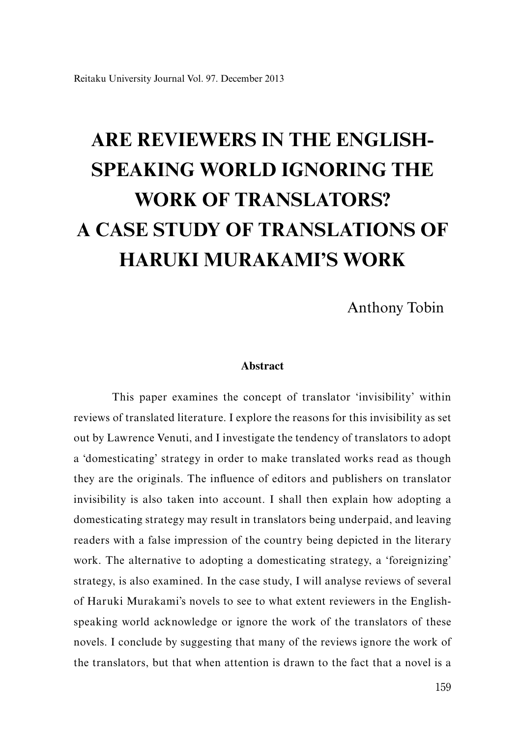Anthony Tobin

### **Abstract**

This paper examines the concept of translator 'invisibility' within reviews of translated literature. I explore the reasons for this invisibility as set out by Lawrence Venuti, and I investigate the tendency of translators to adopt a 'domesticating' strategy in order to make translated works read as though they are the originals. The influence of editors and publishers on translator invisibility is also taken into account. I shall then explain how adopting a domesticating strategy may result in translators being underpaid, and leaving readers with a false impression of the country being depicted in the literary work. The alternative to adopting a domesticating strategy, a 'foreignizing' strategy, is also examined. In the case study, I will analyse reviews of several of Haruki Murakami's novels to see to what extent reviewers in the Englishspeaking world acknowledge or ignore the work of the translators of these novels. I conclude by suggesting that many of the reviews ignore the work of the translators, but that when attention is drawn to the fact that a novel is a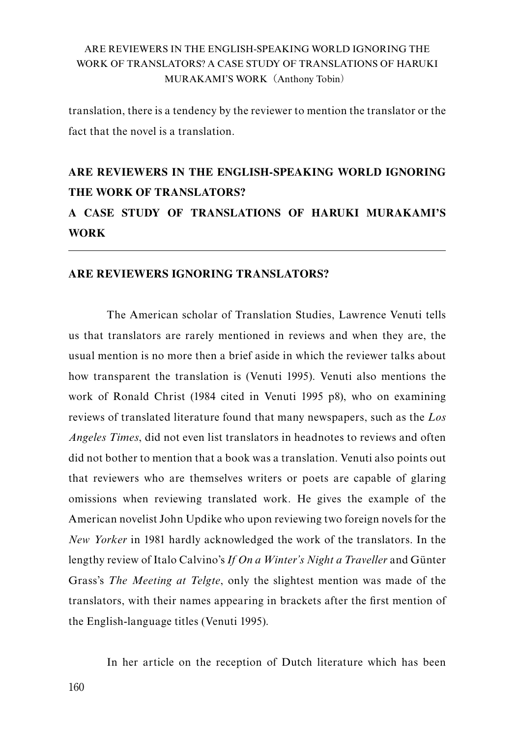translation, there is a tendency by the reviewer to mention the translator or the fact that the novel is a translation.

# **ARE REVIEWERS IN THE ENGLISH-SPEAKING WORLD IGNORING THE WORK OF TRANSLATORS?**

# **A CASE STUDY OF TRANSLATIONS OF HARUKI MURAKAMI'S WORK**

## **ARE REVIEWERS IGNORING TRANSLATORS?**

The American scholar of Translation Studies, Lawrence Venuti tells us that translators are rarely mentioned in reviews and when they are, the usual mention is no more then a brief aside in which the reviewer talks about how transparent the translation is (Venuti 1995). Venuti also mentions the work of Ronald Christ (1984 cited in Venuti 1995 p8), who on examining reviews of translated literature found that many newspapers, such as the *Los Angeles Times*, did not even list translators in headnotes to reviews and often did not bother to mention that a book was a translation. Venuti also points out that reviewers who are themselves writers or poets are capable of glaring omissions when reviewing translated work. He gives the example of the American novelist John Updike who upon reviewing two foreign novels for the *New Yorker* in 1981 hardly acknowledged the work of the translators. In the lengthy review of Italo Calvino's *If On a Winter's Night a Traveller* and Günter Grass's *The Meeting at Telgte*, only the slightest mention was made of the translators, with their names appearing in brackets after the first mention of the English-language titles (Venuti 1995).

In her article on the reception of Dutch literature which has been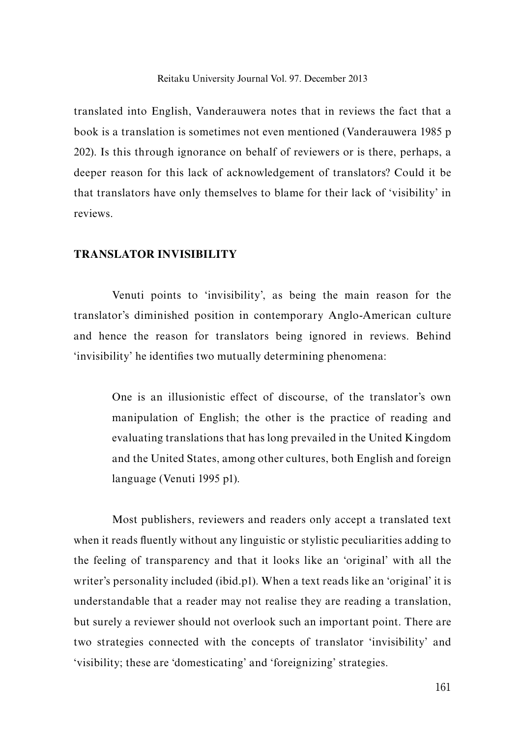translated into English, Vanderauwera notes that in reviews the fact that a book is a translation is sometimes not even mentioned (Vanderauwera 1985 p 202). Is this through ignorance on behalf of reviewers or is there, perhaps, a deeper reason for this lack of acknowledgement of translators? Could it be that translators have only themselves to blame for their lack of 'visibility' in reviews.

## **TRANSLATOR INVISIBILITY**

Venuti points to 'invisibility', as being the main reason for the translator's diminished position in contemporary Anglo-American culture and hence the reason for translators being ignored in reviews. Behind 'invisibility' he identifies two mutually determining phenomena:

One is an illusionistic effect of discourse, of the translator's own manipulation of English; the other is the practice of reading and evaluating translations that has long prevailed in the United Kingdom and the United States, among other cultures, both English and foreign language (Venuti 1995 p1).

Most publishers, reviewers and readers only accept a translated text when it reads fluently without any linguistic or stylistic peculiarities adding to the feeling of transparency and that it looks like an 'original' with all the writer's personality included (ibid.p1). When a text reads like an 'original' it is understandable that a reader may not realise they are reading a translation, but surely a reviewer should not overlook such an important point. There are two strategies connected with the concepts of translator 'invisibility' and 'visibility; these are 'domesticating' and 'foreignizing' strategies.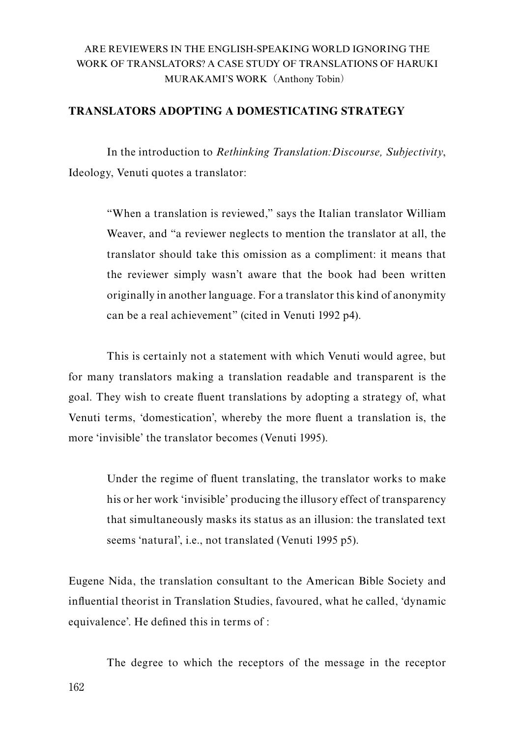# **TRANSLATORS ADOPTING A DOMESTICATING STRATEGY**

In the introduction to *Rethinking Translation:Discourse, Subjectivity*, Ideology, Venuti quotes a translator:

"When a translation is reviewed," says the Italian translator William Weaver, and "a reviewer neglects to mention the translator at all, the translator should take this omission as a compliment: it means that the reviewer simply wasn't aware that the book had been written originally in another language. For a translator this kind of anonymity can be a real achievement" (cited in Venuti 1992 p4).

This is certainly not a statement with which Venuti would agree, but for many translators making a translation readable and transparent is the goal. They wish to create fluent translations by adopting a strategy of, what Venuti terms, 'domestication', whereby the more fluent a translation is, the more 'invisible' the translator becomes (Venuti 1995).

Under the regime of fluent translating, the translator works to make his or her work 'invisible' producing the illusory effect of transparency that simultaneously masks its status as an illusion: the translated text seems 'natural', i.e., not translated (Venuti 1995 p5).

Eugene Nida, the translation consultant to the American Bible Society and influential theorist in Translation Studies, favoured, what he called, 'dynamic equivalence'. He defined this in terms of :

The degree to which the receptors of the message in the receptor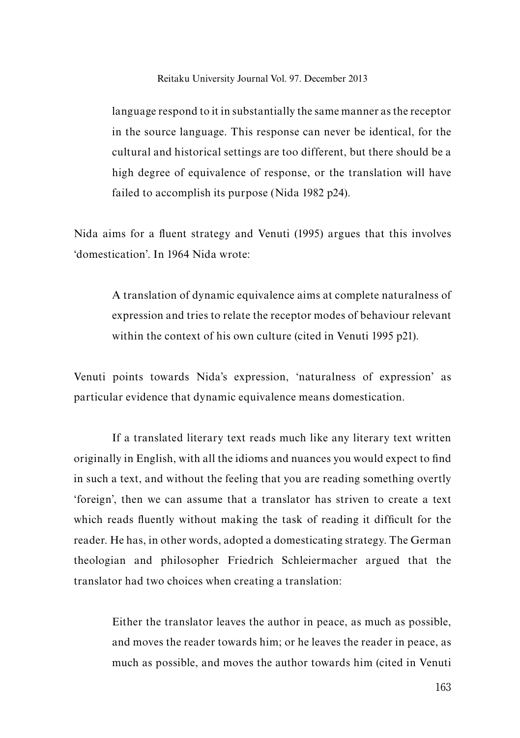language respond to it in substantially the same manner as the receptor in the source language. This response can never be identical, for the cultural and historical settings are too different, but there should be a high degree of equivalence of response, or the translation will have failed to accomplish its purpose (Nida 1982 p24).

Nida aims for a fluent strategy and Venuti (1995) argues that this involves 'domestication'. In 1964 Nida wrote:

A translation of dynamic equivalence aims at complete naturalness of expression and tries to relate the receptor modes of behaviour relevant within the context of his own culture (cited in Venuti 1995 p21).

Venuti points towards Nida's expression, 'naturalness of expression' as particular evidence that dynamic equivalence means domestication.

If a translated literary text reads much like any literary text written originally in English, with all the idioms and nuances you would expect to find in such a text, and without the feeling that you are reading something overtly 'foreign', then we can assume that a translator has striven to create a text which reads fluently without making the task of reading it difficult for the reader. He has, in other words, adopted a domesticating strategy. The German theologian and philosopher Friedrich Schleiermacher argued that the translator had two choices when creating a translation:

Either the translator leaves the author in peace, as much as possible, and moves the reader towards him; or he leaves the reader in peace, as much as possible, and moves the author towards him (cited in Venuti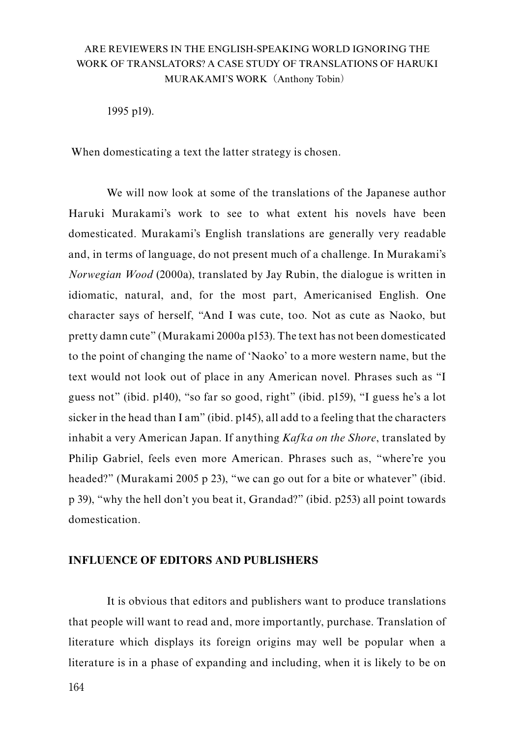1995 p19).

When domesticating a text the latter strategy is chosen.

We will now look at some of the translations of the Japanese author Haruki Murakami's work to see to what extent his novels have been domesticated. Murakami's English translations are generally very readable and, in terms of language, do not present much of a challenge. In Murakami's *Norwegian Wood* (2000a), translated by Jay Rubin, the dialogue is written in idiomatic, natural, and, for the most part, Americanised English. One character says of herself, "And I was cute, too. Not as cute as Naoko, but pretty damn cute" (Murakami 2000a p153). The text has not been domesticated to the point of changing the name of 'Naoko' to a more western name, but the text would not look out of place in any American novel. Phrases such as "I guess not" (ibid. p140), "so far so good, right" (ibid. p159), "I guess he's a lot sicker in the head than I am" (ibid. p145), all add to a feeling that the characters inhabit a very American Japan. If anything *Kafka on the Shore*, translated by Philip Gabriel, feels even more American. Phrases such as, "where're you headed?" (Murakami 2005 p 23), "we can go out for a bite or whatever" (ibid. p 39), "why the hell don't you beat it, Grandad?" (ibid. p253) all point towards domestication.

### **INFLUENCE OF EDITORS AND PUBLISHERS**

It is obvious that editors and publishers want to produce translations that people will want to read and, more importantly, purchase. Translation of literature which displays its foreign origins may well be popular when a literature is in a phase of expanding and including, when it is likely to be on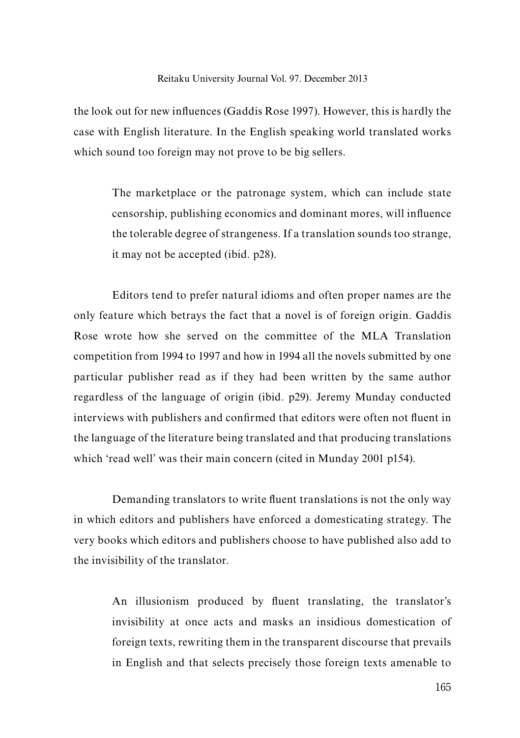the look out for new influences (Gaddis Rose 1997). However, this is hardly the case with English literature. In the English speaking world translated works which sound too foreign may not prove to be big sellers.

> The marketplace or the patronage system, which can include state censorship, publishing economics and dominant mores, will influence the tolerable degree of strangeness. If a translation sounds too strange, it may not be accepted (ibid. p28).

Editors tend to prefer natural idioms and often proper names are the only feature which betrays the fact that a novel is of foreign origin. Gaddis Rose wrote how she served on the committee of the MLA Translation competition from 1994 to 1997 and how in 1994 all the novels submitted by one particular publisher read as if they had been written by the same author regardless of the language of origin (ibid. p29). Jeremy Munday conducted interviews with publishers and confirmed that editors were often not fluent in the language of the literature being translated and that producing translations which 'read well' was their main concern (cited in Munday 2001 p154).

Demanding translators to write fluent translations is not the only way in which editors and publishers have enforced a domesticating strategy. The very books which editors and publishers choose to have published also add to the invisibility of the translator.

An illusionism produced by fluent translating, the translator's invisibility at once acts and masks an insidious domestication of foreign texts, rewriting them in the transparent discourse that prevails in English and that selects precisely those foreign texts amenable to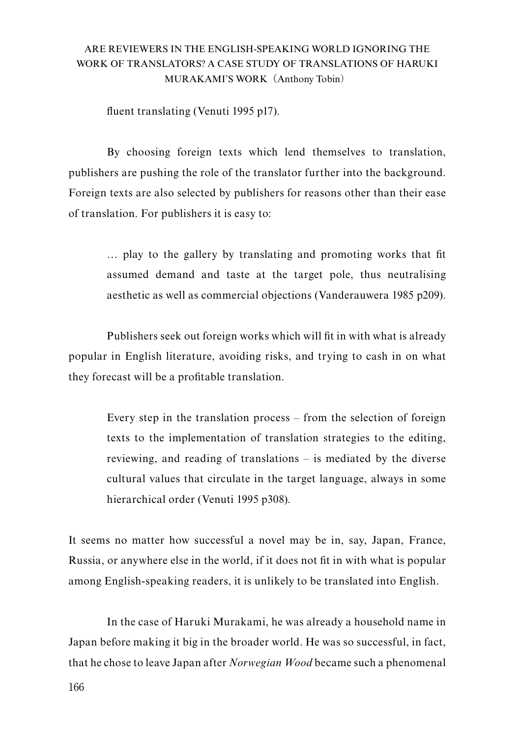fluent translating (Venuti 1995 p17).

By choosing foreign texts which lend themselves to translation, publishers are pushing the role of the translator further into the background. Foreign texts are also selected by publishers for reasons other than their ease of translation. For publishers it is easy to:

… play to the gallery by translating and promoting works that fit assumed demand and taste at the target pole, thus neutralising aesthetic as well as commercial objections (Vanderauwera 1985 p209).

Publishers seek out foreign works which will fit in with what is already popular in English literature, avoiding risks, and trying to cash in on what they forecast will be a profitable translation.

Every step in the translation process – from the selection of foreign texts to the implementation of translation strategies to the editing, reviewing, and reading of translations – is mediated by the diverse cultural values that circulate in the target language, always in some hierarchical order (Venuti 1995 p308).

It seems no matter how successful a novel may be in, say, Japan, France, Russia, or anywhere else in the world, if it does not fit in with what is popular among English-speaking readers, it is unlikely to be translated into English.

In the case of Haruki Murakami, he was already a household name in Japan before making it big in the broader world. He was so successful, in fact, that he chose to leave Japan after *Norwegian Wood* became such a phenomenal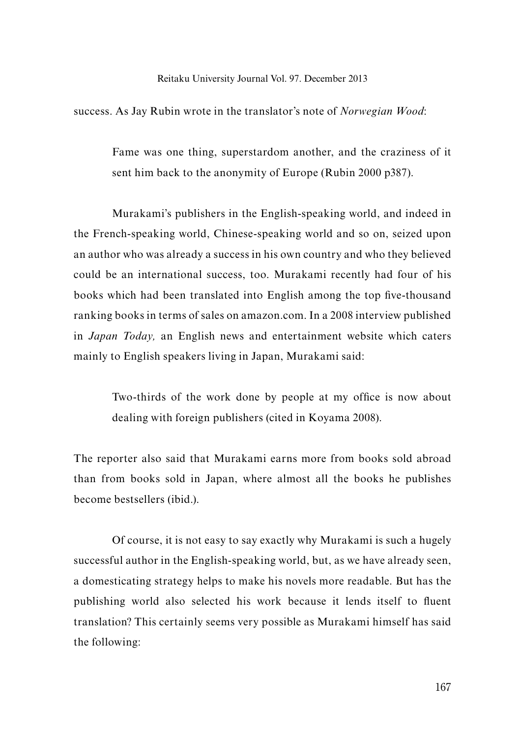success. As Jay Rubin wrote in the translator's note of *Norwegian Wood*:

Fame was one thing, superstardom another, and the craziness of it sent him back to the anonymity of Europe (Rubin 2000 p387).

Murakami's publishers in the English-speaking world, and indeed in the French-speaking world, Chinese-speaking world and so on, seized upon an author who was already a success in his own country and who they believed could be an international success, too. Murakami recently had four of his books which had been translated into English among the top five-thousand ranking books in terms of sales on amazon.com. In a 2008 interview published in *Japan Today,* an English news and entertainment website which caters mainly to English speakers living in Japan, Murakami said:

> Two-thirds of the work done by people at my office is now about dealing with foreign publishers (cited in Koyama 2008).

The reporter also said that Murakami earns more from books sold abroad than from books sold in Japan, where almost all the books he publishes become bestsellers (ibid.).

Of course, it is not easy to say exactly why Murakami is such a hugely successful author in the English-speaking world, but, as we have already seen, a domesticating strategy helps to make his novels more readable. But has the publishing world also selected his work because it lends itself to fluent translation? This certainly seems very possible as Murakami himself has said the following: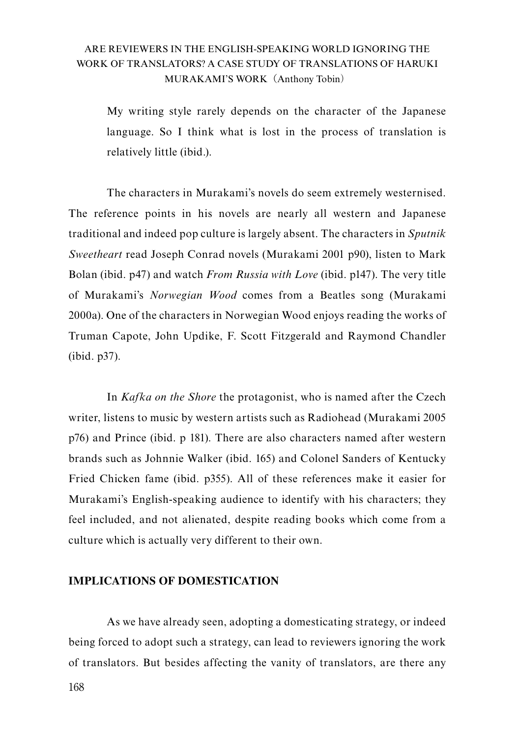My writing style rarely depends on the character of the Japanese language. So I think what is lost in the process of translation is relatively little (ibid.).

The characters in Murakami's novels do seem extremely westernised. The reference points in his novels are nearly all western and Japanese traditional and indeed pop culture is largely absent. The characters in *Sputnik Sweetheart* read Joseph Conrad novels (Murakami 2001 p90), listen to Mark Bolan (ibid. p47) and watch *From Russia with Love* (ibid. p147). The very title of Murakami's *Norwegian Wood* comes from a Beatles song (Murakami 2000a). One of the characters in Norwegian Wood enjoys reading the works of Truman Capote, John Updike, F. Scott Fitzgerald and Raymond Chandler (ibid. p37).

In *Kafka on the Shore* the protagonist, who is named after the Czech writer, listens to music by western artists such as Radiohead (Murakami 2005 p76) and Prince (ibid. p 181). There are also characters named after western brands such as Johnnie Walker (ibid. 165) and Colonel Sanders of Kentucky Fried Chicken fame (ibid. p355). All of these references make it easier for Murakami's English-speaking audience to identify with his characters; they feel included, and not alienated, despite reading books which come from a culture which is actually very different to their own.

## **IMPLICATIONS OF DOMESTICATION**

As we have already seen, adopting a domesticating strategy, or indeed being forced to adopt such a strategy, can lead to reviewers ignoring the work of translators. But besides affecting the vanity of translators, are there any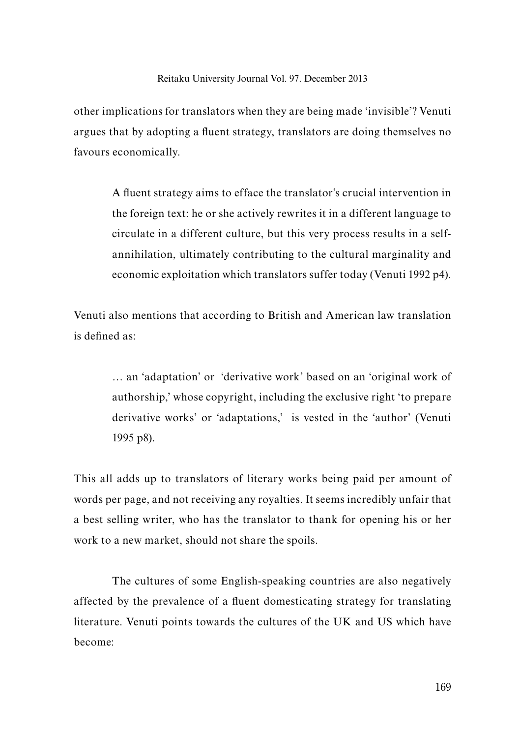other implications for translators when they are being made 'invisible'? Venuti argues that by adopting a fluent strategy, translators are doing themselves no favours economically.

A fluent strategy aims to efface the translator's crucial intervention in the foreign text: he or she actively rewrites it in a different language to circulate in a different culture, but this very process results in a selfannihilation, ultimately contributing to the cultural marginality and economic exploitation which translators suffer today (Venuti 1992 p4).

Venuti also mentions that according to British and American law translation is defined as:

… an 'adaptation' or 'derivative work' based on an 'original work of authorship,' whose copyright, including the exclusive right 'to prepare derivative works' or 'adaptations,' is vested in the 'author' (Venuti 1995 p8).

This all adds up to translators of literary works being paid per amount of words per page, and not receiving any royalties. It seems incredibly unfair that a best selling writer, who has the translator to thank for opening his or her work to a new market, should not share the spoils.

The cultures of some English-speaking countries are also negatively affected by the prevalence of a fluent domesticating strategy for translating literature. Venuti points towards the cultures of the UK and US which have become: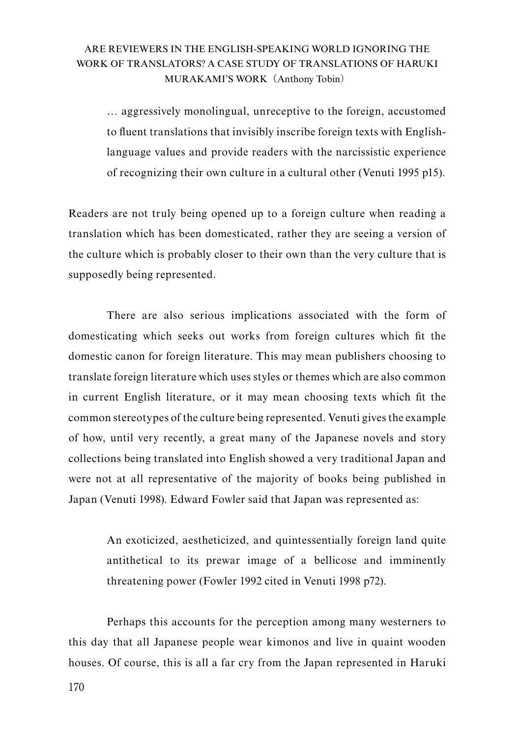… aggressively monolingual, unreceptive to the foreign, accustomed to fluent translations that invisibly inscribe foreign texts with Englishlanguage values and provide readers with the narcissistic experience of recognizing their own culture in a cultural other (Venuti 1995 p15).

Readers are not truly being opened up to a foreign culture when reading a translation which has been domesticated, rather they are seeing a version of the culture which is probably closer to their own than the very culture that is supposedly being represented.

There are also serious implications associated with the form of domesticating which seeks out works from foreign cultures which fit the domestic canon for foreign literature. This may mean publishers choosing to translate foreign literature which uses styles or themes which are also common in current English literature, or it may mean choosing texts which fit the common stereotypes of the culture being represented. Venuti gives the example of how, until very recently, a great many of the Japanese novels and story collections being translated into English showed a very traditional Japan and were not at all representative of the majority of books being published in Japan (Venuti 1998). Edward Fowler said that Japan was represented as:

An exoticized, aestheticized, and quintessentially foreign land quite antithetical to its prewar image of a bellicose and imminently threatening power (Fowler 1992 cited in Venuti 1998 p72).

Perhaps this accounts for the perception among many westerners to this day that all Japanese people wear kimonos and live in quaint wooden houses. Of course, this is all a far cry from the Japan represented in Haruki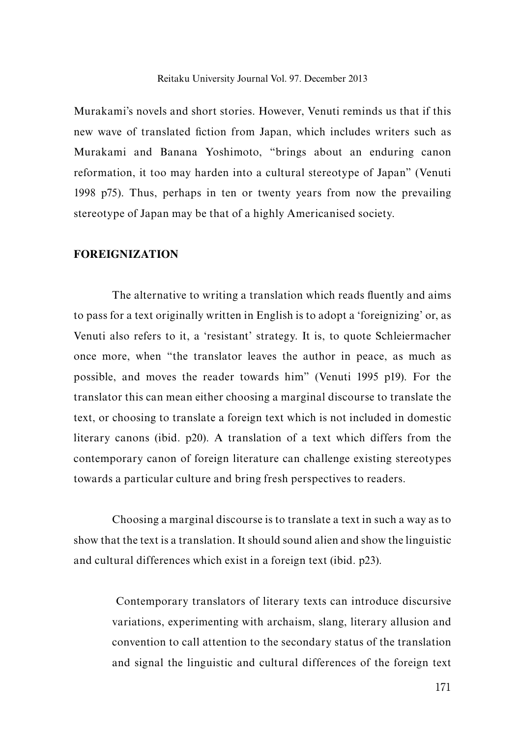Murakami's novels and short stories. However, Venuti reminds us that if this new wave of translated fiction from Japan, which includes writers such as Murakami and Banana Yoshimoto, "brings about an enduring canon reformation, it too may harden into a cultural stereotype of Japan" (Venuti 1998 p75). Thus, perhaps in ten or twenty years from now the prevailing stereotype of Japan may be that of a highly Americanised society.

#### **FOREIGNIZATION**

The alternative to writing a translation which reads fluently and aims to pass for a text originally written in English is to adopt a 'foreignizing' or, as Venuti also refers to it, a 'resistant' strategy. It is, to quote Schleiermacher once more, when "the translator leaves the author in peace, as much as possible, and moves the reader towards him" (Venuti 1995 p19). For the translator this can mean either choosing a marginal discourse to translate the text, or choosing to translate a foreign text which is not included in domestic literary canons (ibid. p20). A translation of a text which differs from the contemporary canon of foreign literature can challenge existing stereotypes towards a particular culture and bring fresh perspectives to readers.

Choosing a marginal discourse is to translate a text in such a way as to show that the text is a translation. It should sound alien and show the linguistic and cultural differences which exist in a foreign text (ibid. p23).

 Contemporary translators of literary texts can introduce discursive variations, experimenting with archaism, slang, literary allusion and convention to call attention to the secondary status of the translation and signal the linguistic and cultural differences of the foreign text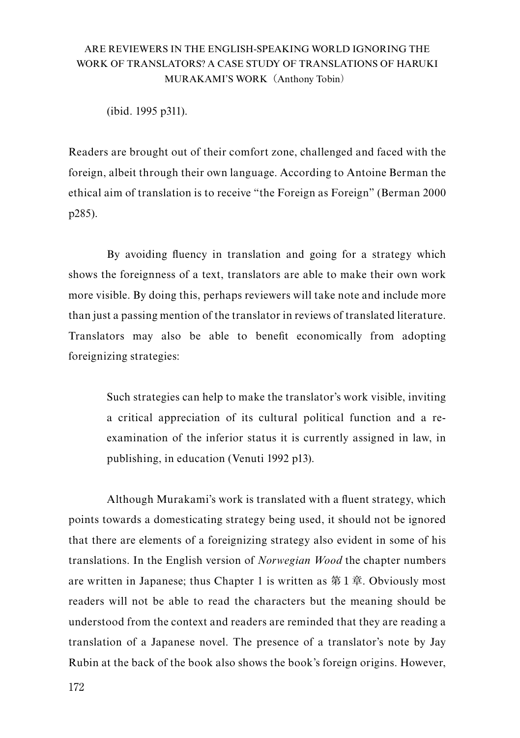(ibid. 1995 p311).

Readers are brought out of their comfort zone, challenged and faced with the foreign, albeit through their own language. According to Antoine Berman the ethical aim of translation is to receive "the Foreign as Foreign" (Berman 2000 p285).

By avoiding fluency in translation and going for a strategy which shows the foreignness of a text, translators are able to make their own work more visible. By doing this, perhaps reviewers will take note and include more than just a passing mention of the translator in reviews of translated literature. Translators may also be able to benefit economically from adopting foreignizing strategies:

Such strategies can help to make the translator's work visible, inviting a critical appreciation of its cultural political function and a reexamination of the inferior status it is currently assigned in law, in publishing, in education (Venuti 1992 p13).

Although Murakami's work is translated with a fluent strategy, which points towards a domesticating strategy being used, it should not be ignored that there are elements of a foreignizing strategy also evident in some of his translations. In the English version of *Norwegian Wood* the chapter numbers are written in Japanese; thus Chapter 1 is written as 第1章. Obviously most readers will not be able to read the characters but the meaning should be understood from the context and readers are reminded that they are reading a translation of a Japanese novel. The presence of a translator's note by Jay Rubin at the back of the book also shows the book's foreign origins. However,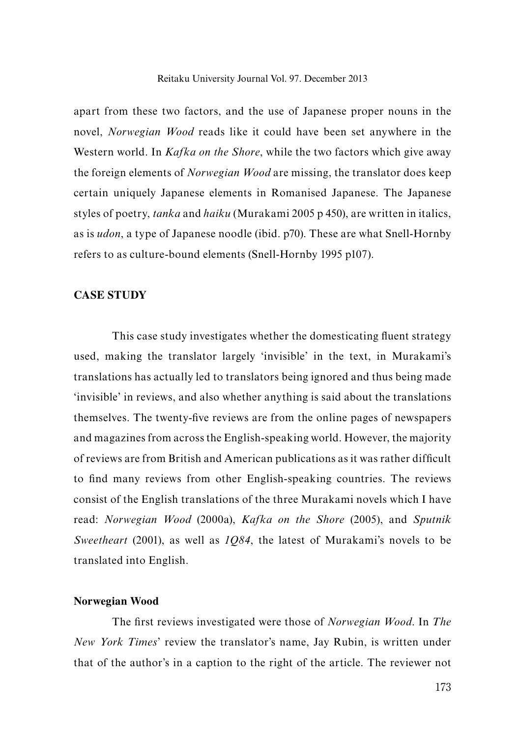apart from these two factors, and the use of Japanese proper nouns in the novel, *Norwegian Wood* reads like it could have been set anywhere in the Western world. In *Kafka on the Shore*, while the two factors which give away the foreign elements of *Norwegian Wood* are missing, the translator does keep certain uniquely Japanese elements in Romanised Japanese. The Japanese styles of poetry, *tanka* and *haiku* (Murakami 2005 p 450), are written in italics, as is *udon*, a type of Japanese noodle (ibid. p70). These are what Snell-Hornby refers to as culture-bound elements (Snell-Hornby 1995 p107).

### **CASE STUDY**

This case study investigates whether the domesticating fluent strategy used, making the translator largely 'invisible' in the text, in Murakami's translations has actually led to translators being ignored and thus being made 'invisible' in reviews, and also whether anything is said about the translations themselves. The twenty-five reviews are from the online pages of newspapers and magazines from across the English-speaking world. However, the majority of reviews are from British and American publications as it was rather difficult to find many reviews from other English-speaking countries. The reviews consist of the English translations of the three Murakami novels which I have read: *Norwegian Wood* (2000a), *Kafka on the Shore* (2005), and *Sputnik Sweetheart* (2001), as well as *1Q84*, the latest of Murakami's novels to be translated into English.

#### **Norwegian Wood**

The first reviews investigated were those of *Norwegian Wood*. In *The New York Times*' review the translator's name, Jay Rubin, is written under that of the author's in a caption to the right of the article. The reviewer not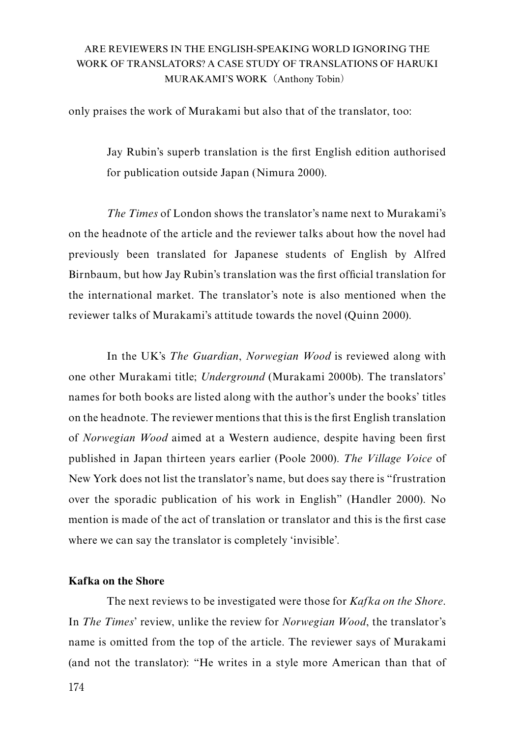only praises the work of Murakami but also that of the translator, too:

Jay Rubin's superb translation is the first English edition authorised for publication outside Japan (Nimura 2000).

*The Times* of London shows the translator's name next to Murakami's on the headnote of the article and the reviewer talks about how the novel had previously been translated for Japanese students of English by Alfred Birnbaum, but how Jay Rubin's translation was the first official translation for the international market. The translator's note is also mentioned when the reviewer talks of Murakami's attitude towards the novel (Quinn 2000).

In the UK's *The Guardian*, *Norwegian Wood* is reviewed along with one other Murakami title; *Underground* (Murakami 2000b). The translators' names for both books are listed along with the author's under the books' titles on the headnote. The reviewer mentions that this is the first English translation of *Norwegian Wood* aimed at a Western audience, despite having been first published in Japan thirteen years earlier (Poole 2000). *The Village Voice* of New York does not list the translator's name, but does say there is "frustration over the sporadic publication of his work in English" (Handler 2000). No mention is made of the act of translation or translator and this is the first case where we can say the translator is completely 'invisible'.

## **Kafka on the Shore**

The next reviews to be investigated were those for *Kafka on the Shore*. In *The Times*' review, unlike the review for *Norwegian Wood*, the translator's name is omitted from the top of the article. The reviewer says of Murakami (and not the translator): "He writes in a style more American than that of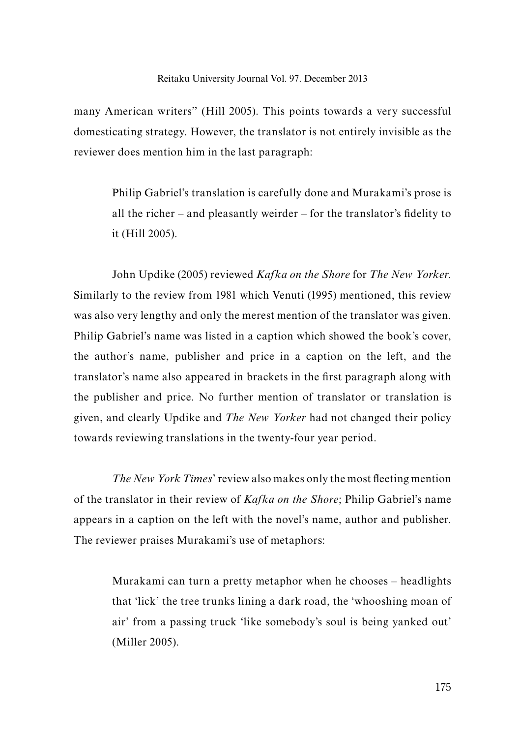many American writers" (Hill 2005). This points towards a very successful domesticating strategy. However, the translator is not entirely invisible as the reviewer does mention him in the last paragraph:

Philip Gabriel's translation is carefully done and Murakami's prose is all the richer – and pleasantly weirder – for the translator's fidelity to it (Hill 2005).

John Updike (2005) reviewed *Kafka on the Shore* for *The New Yorker*. Similarly to the review from 1981 which Venuti (1995) mentioned, this review was also very lengthy and only the merest mention of the translator was given. Philip Gabriel's name was listed in a caption which showed the book's cover, the author's name, publisher and price in a caption on the left, and the translator's name also appeared in brackets in the first paragraph along with the publisher and price. No further mention of translator or translation is given, and clearly Updike and *The New Yorker* had not changed their policy towards reviewing translations in the twenty-four year period.

*The New York Times*' review also makes only the most fleeting mention of the translator in their review of *Kafka on the Shore*; Philip Gabriel's name appears in a caption on the left with the novel's name, author and publisher. The reviewer praises Murakami's use of metaphors:

Murakami can turn a pretty metaphor when he chooses – headlights that 'lick' the tree trunks lining a dark road, the 'whooshing moan of air' from a passing truck 'like somebody's soul is being yanked out' (Miller 2005).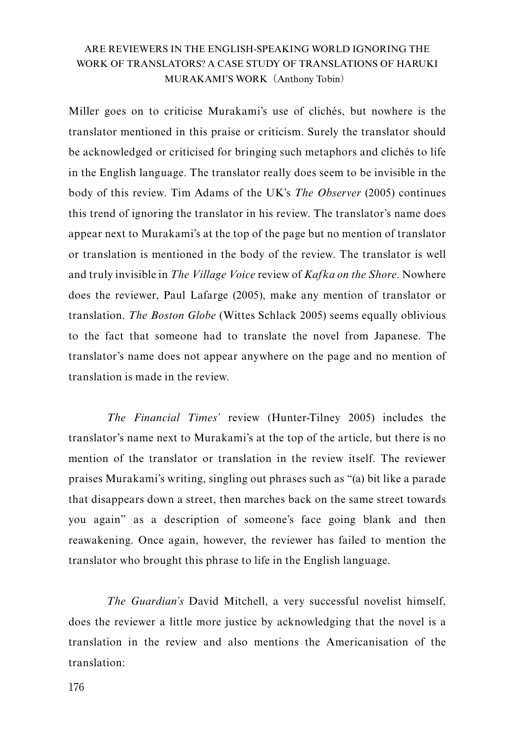Miller goes on to criticise Murakami's use of clichés, but nowhere is the translator mentioned in this praise or criticism. Surely the translator should be acknowledged or criticised for bringing such metaphors and clichés to life in the English language. The translator really does seem to be invisible in the body of this review. Tim Adams of the UK's *The Observer* (2005) continues this trend of ignoring the translator in his review. The translator's name does appear next to Murakami's at the top of the page but no mention of translator or translation is mentioned in the body of the review. The translator is well and truly invisible in *The Village Voice* review of *Kafka on the Shore*. Nowhere does the reviewer, Paul Lafarge (2005), make any mention of translator or translation. *The Boston Globe* (Wittes Schlack 2005) seems equally oblivious to the fact that someone had to translate the novel from Japanese. The translator's name does not appear anywhere on the page and no mention of translation is made in the review.

*The Financial Times'* review (Hunter-Tilney 2005) includes the translator's name next to Murakami's at the top of the article, but there is no mention of the translator or translation in the review itself. The reviewer praises Murakami's writing, singling out phrases such as "(a) bit like a parade that disappears down a street, then marches back on the same street towards you again" as a description of someone's face going blank and then reawakening. Once again, however, the reviewer has failed to mention the translator who brought this phrase to life in the English language.

*The Guardian's* David Mitchell, a very successful novelist himself, does the reviewer a little more justice by acknowledging that the novel is a translation in the review and also mentions the Americanisation of the translation: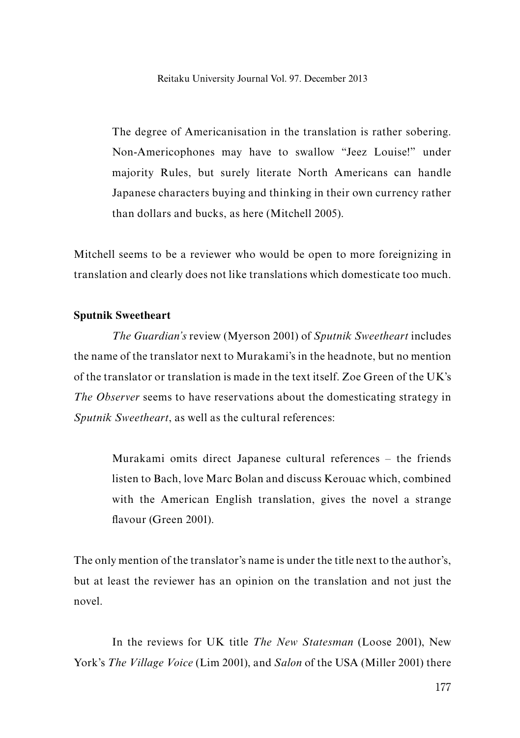The degree of Americanisation in the translation is rather sobering. Non-Americophones may have to swallow "Jeez Louise!" under majority Rules, but surely literate North Americans can handle Japanese characters buying and thinking in their own currency rather than dollars and bucks, as here (Mitchell 2005).

Mitchell seems to be a reviewer who would be open to more foreignizing in translation and clearly does not like translations which domesticate too much.

#### **Sputnik Sweetheart**

*The Guardian's* review (Myerson 2001) of *Sputnik Sweetheart* includes the name of the translator next to Murakami's in the headnote, but no mention of the translator or translation is made in the text itself. Zoe Green of the UK's *The Observer* seems to have reservations about the domesticating strategy in *Sputnik Sweetheart*, as well as the cultural references:

Murakami omits direct Japanese cultural references – the friends listen to Bach, love Marc Bolan and discuss Kerouac which, combined with the American English translation, gives the novel a strange flavour (Green 2001).

The only mention of the translator's name is under the title next to the author's, but at least the reviewer has an opinion on the translation and not just the novel.

In the reviews for UK title *The New Statesman* (Loose 2001), New York's *The Village Voice* (Lim 2001), and *Salon* of the USA (Miller 2001) there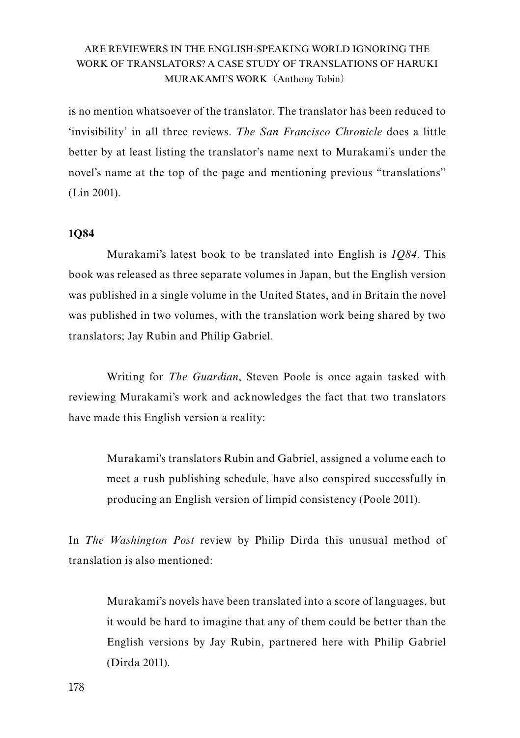is no mention whatsoever of the translator. The translator has been reduced to 'invisibility' in all three reviews. *The San Francisco Chronicle* does a little better by at least listing the translator's name next to Murakami's under the novel's name at the top of the page and mentioning previous "translations" (Lin 2001).

## **1Q84**

Murakami's latest book to be translated into English is *1Q84*. This book was released as three separate volumes in Japan, but the English version was published in a single volume in the United States, and in Britain the novel was published in two volumes, with the translation work being shared by two translators; Jay Rubin and Philip Gabriel.

Writing for *The Guardian*, Steven Poole is once again tasked with reviewing Murakami's work and acknowledges the fact that two translators have made this English version a reality:

Murakami's translators Rubin and Gabriel, assigned a volume each to meet a rush publishing schedule, have also conspired successfully in producing an English version of limpid consistency (Poole 2011).

In *The Washington Post* review by Philip Dirda this unusual method of translation is also mentioned:

Murakami's novels have been translated into a score of languages, but it would be hard to imagine that any of them could be better than the English versions by Jay Rubin, partnered here with Philip Gabriel (Dirda 2011).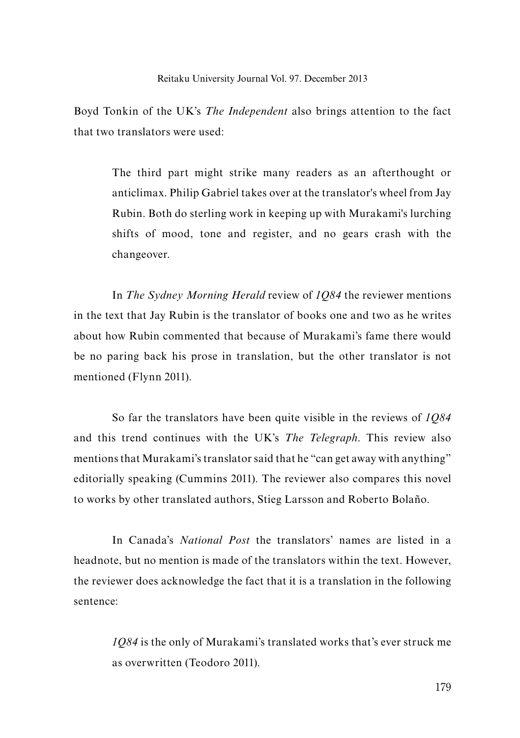Boyd Tonkin of the UK's *The Independent* also brings attention to the fact that two translators were used:

The third part might strike many readers as an afterthought or anticlimax. Philip Gabriel takes over at the translator's wheel from Jay Rubin. Both do sterling work in keeping up with Murakami's lurching shifts of mood, tone and register, and no gears crash with the changeover.

In *The Sydney Morning Herald* review of *1Q84* the reviewer mentions in the text that Jay Rubin is the translator of books one and two as he writes about how Rubin commented that because of Murakami's fame there would be no paring back his prose in translation, but the other translator is not mentioned (Flynn 2011).

So far the translators have been quite visible in the reviews of *1Q84* and this trend continues with the UK's *The Telegraph*. This review also mentions that Murakami's translator said that he "can get away with anything" editorially speaking (Cummins 2011). The reviewer also compares this novel to works by other translated authors, Stieg Larsson and Roberto Bolaño.

In Canada's *National Post* the translators' names are listed in a headnote, but no mention is made of the translators within the text. However, the reviewer does acknowledge the fact that it is a translation in the following sentence:

*1Q84* is the only of Murakami's translated works that's ever struck me as overwritten (Teodoro 2011).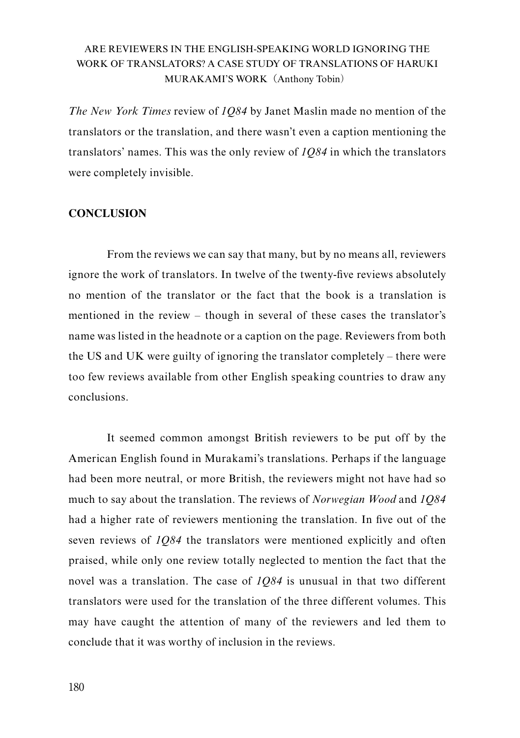*The New York Times* review of *1Q84* by Janet Maslin made no mention of the translators or the translation, and there wasn't even a caption mentioning the translators' names. This was the only review of *1Q84* in which the translators were completely invisible.

## **CONCLUSION**

From the reviews we can say that many, but by no means all, reviewers ignore the work of translators. In twelve of the twenty-five reviews absolutely no mention of the translator or the fact that the book is a translation is mentioned in the review – though in several of these cases the translator's name was listed in the headnote or a caption on the page. Reviewers from both the US and UK were guilty of ignoring the translator completely – there were too few reviews available from other English speaking countries to draw any conclusions.

It seemed common amongst British reviewers to be put off by the American English found in Murakami's translations. Perhaps if the language had been more neutral, or more British, the reviewers might not have had so much to say about the translation. The reviews of *Norwegian Wood* and *1Q84* had a higher rate of reviewers mentioning the translation. In five out of the seven reviews of *1Q84* the translators were mentioned explicitly and often praised, while only one review totally neglected to mention the fact that the novel was a translation. The case of *1Q84* is unusual in that two different translators were used for the translation of the three different volumes. This may have caught the attention of many of the reviewers and led them to conclude that it was worthy of inclusion in the reviews.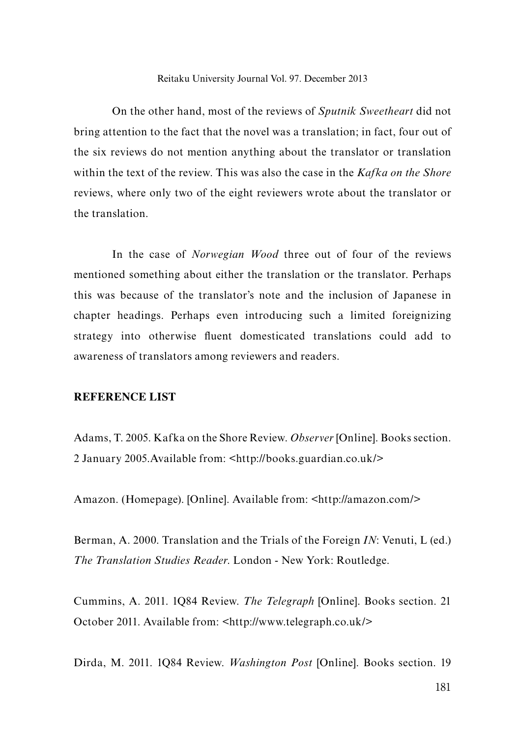On the other hand, most of the reviews of *Sputnik Sweetheart* did not bring attention to the fact that the novel was a translation; in fact, four out of the six reviews do not mention anything about the translator or translation within the text of the review. This was also the case in the *Kafka on the Shore*  reviews, where only two of the eight reviewers wrote about the translator or the translation.

In the case of *Norwegian Wood* three out of four of the reviews mentioned something about either the translation or the translator. Perhaps this was because of the translator's note and the inclusion of Japanese in chapter headings. Perhaps even introducing such a limited foreignizing strategy into otherwise fluent domesticated translations could add to awareness of translators among reviewers and readers.

#### **REFERENCE LIST**

Adams, T. 2005. Kafka on the Shore Review. *Observer* [Online]. Books section. 2 January 2005.Available from: <http://books.guardian.co.uk/>

Amazon. (Homepage). [Online]. Available from: <http://amazon.com/>

Berman, A. 2000. Translation and the Trials of the Foreign *IN*: Venuti, L (ed.) *The Translation Studies Reader*. London - New York: Routledge.

Cummins, A. 2011. 1Q84 Review. *The Telegraph* [Online]. Books section. 21 October 2011. Available from: <http://www.telegraph.co.uk/>

Dirda, M. 2011. 1Q84 Review. *Washington Post* [Online]. Books section. 19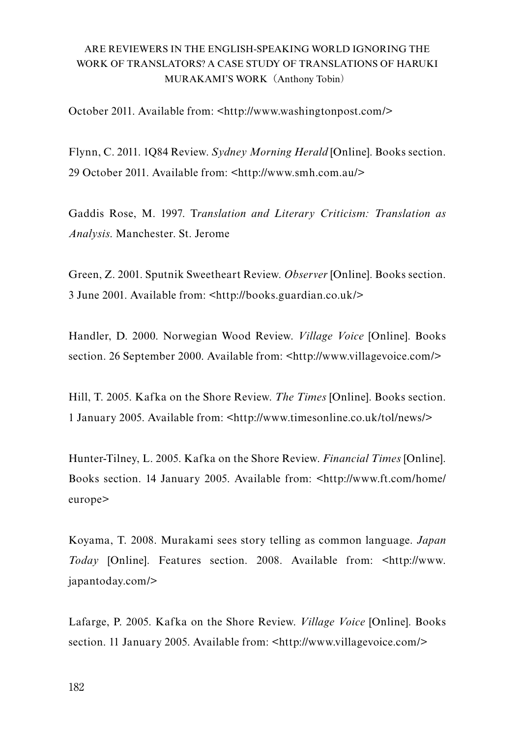October 2011. Available from: <http://www.washingtonpost.com/>

Flynn, C. 2011. 1Q84 Review. *Sydney Morning Herald* [Online]. Books section. 29 October 2011. Available from: <http://www.smh.com.au/>

Gaddis Rose, M. 1997. T*ranslation and Literary Criticism: Translation as Analysis*. Manchester. St. Jerome

Green, Z. 2001. Sputnik Sweetheart Review. *Observer* [Online]. Books section. 3 June 2001. Available from: <http://books.guardian.co.uk/>

Handler, D. 2000. Norwegian Wood Review. *Village Voice* [Online]. Books section. 26 September 2000. Available from: <http://www.villagevoice.com/>

Hill, T. 2005. Kafka on the Shore Review. *The Times* [Online]. Books section. 1 January 2005. Available from: <http://www.timesonline.co.uk/tol/news/>

Hunter-Tilney, L. 2005. Kafka on the Shore Review. *Financial Times* [Online]. Books section. 14 January 2005. Available from: <http://www.ft.com/home/ europe>

Koyama, T. 2008. Murakami sees story telling as common language. *Japan Today* [Online]. Features section. 2008. Available from: <http://www. japantoday.com/>

Lafarge, P. 2005. Kafka on the Shore Review. *Village Voice* [Online]. Books section. 11 January 2005. Available from: <http://www.villagevoice.com/>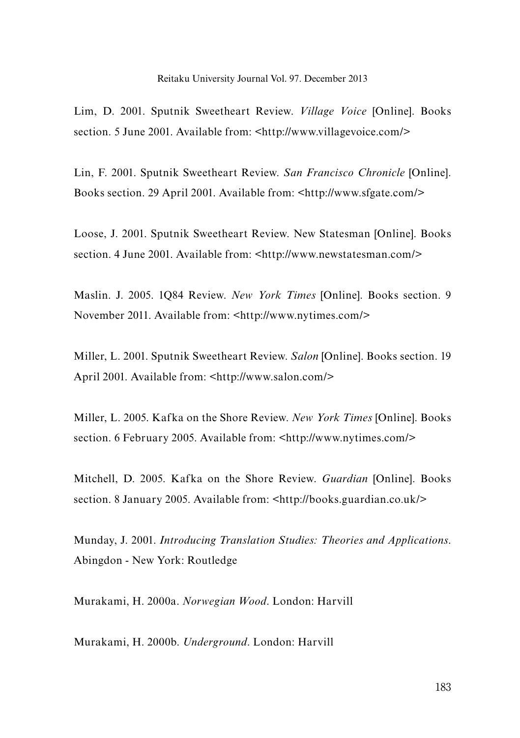Lim, D. 2001. Sputnik Sweetheart Review. *Village Voice* [Online]. Books section. 5 June 2001. Available from: <http://www.villagevoice.com/>

Lin, F. 2001. Sputnik Sweetheart Review. *San Francisco Chronicle* [Online]. Books section. 29 April 2001. Available from: <http://www.sfgate.com/>

Loose, J. 2001. Sputnik Sweetheart Review. New Statesman [Online]. Books section. 4 June 2001. Available from: <http://www.newstatesman.com/>

Maslin. J. 2005. 1Q84 Review. *New York Times* [Online]. Books section. 9 November 2011. Available from: <http://www.nytimes.com/>

Miller, L. 2001. Sputnik Sweetheart Review. *Salon* [Online]. Books section. 19 April 2001. Available from: <http://www.salon.com/>

Miller, L. 2005. Kafka on the Shore Review. *New York Times* [Online]. Books section. 6 February 2005. Available from: <http://www.nytimes.com/>

Mitchell, D. 2005. Kafka on the Shore Review. *Guardian* [Online]. Books section. 8 January 2005. Available from: <http://books.guardian.co.uk/>

Munday, J. 2001. *Introducing Translation Studies: Theories and Applications*. Abingdon - New York: Routledge

Murakami, H. 2000a. *Norwegian Wood*. London: Harvill

Murakami, H. 2000b. *Underground*. London: Harvill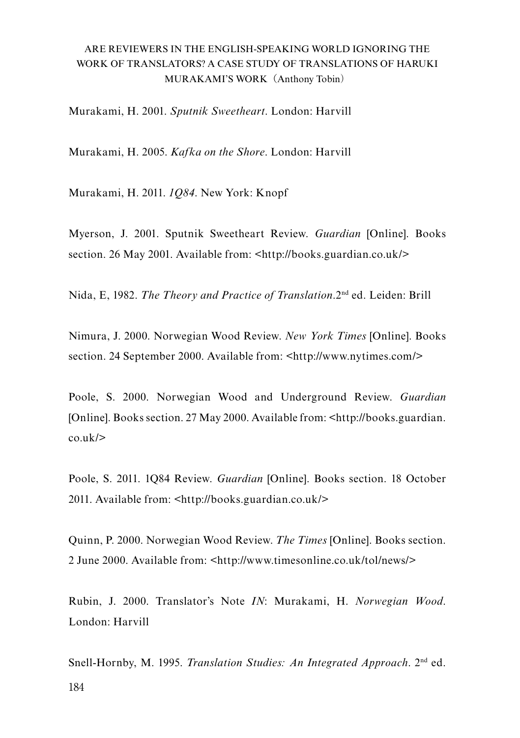Murakami, H. 2001. *Sputnik Sweetheart*. London: Harvill

Murakami, H. 2005. *Kafka on the Shore*. London: Harvill

Murakami, H. 2011. *1Q84*. New York: Knopf

Myerson, J. 2001. Sputnik Sweetheart Review. *Guardian* [Online]. Books section. 26 May 2001. Available from: <http://books.guardian.co.uk/>

Nida, E, 1982. *The Theory and Practice of Translation*.2nd ed. Leiden: Brill

Nimura, J. 2000. Norwegian Wood Review. *New York Times* [Online]. Books section. 24 September 2000. Available from: <http://www.nytimes.com/>

Poole, S. 2000. Norwegian Wood and Underground Review. *Guardian* [Online]. Books section. 27 May 2000. Available from: <http://books.guardian.  $\cosh(k)$ 

Poole, S. 2011. 1Q84 Review. *Guardian* [Online]. Books section. 18 October 2011. Available from: <http://books.guardian.co.uk/>

Quinn, P. 2000. Norwegian Wood Review. *The Times* [Online]. Books section. 2 June 2000. Available from: <http://www.timesonline.co.uk/tol/news/>

Rubin, J. 2000. Translator's Note *IN*: Murakami, H. *Norwegian Wood*. London: Harvill

184 Snell-Hornby, M. 1995. *Translation Studies: An Integrated Approach*. 2nd ed.